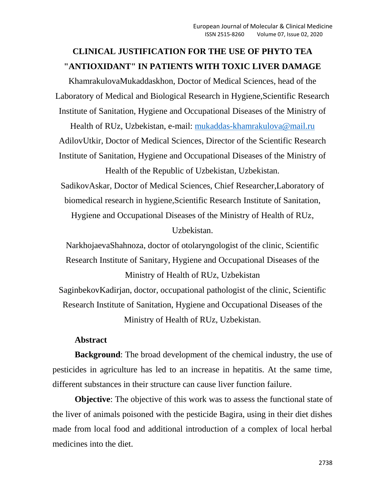# **CLINICAL JUSTIFICATION FOR THE USE OF PHYTO TEA "ANTIOXIDANT" IN PATIENTS WITH TOXIC LIVER DAMAGE**

KhamrakulovaMukaddaskhon, Doctor of Medical Sciences, head of the Laboratory of Medical and Biological Research in Hygiene,Scientific Research Institute of Sanitation, Hygiene and Occupational Diseases of the Ministry of

Health of RUz, Uzbekistan, e-mail: [mukaddas-khamrakulova@mail.ru](mailto:mukaddas-khamrakulova@mail.ru) AdilovUtkir, Doctor of Medical Sciences, Director of the Scientific Research Institute of Sanitation, Hygiene and Occupational Diseases of the Ministry of

Health of the Republic of Uzbekistan, Uzbekistan. SadikovAskar, Doctor of Medical Sciences, Chief Researcher,Laboratory of biomedical research in hygiene,Scientific Research Institute of Sanitation,

Hygiene and Occupational Diseases of the Ministry of Health of RUz,

Uzbekistan.

NarkhojaevaShahnoza, doctor of otolaryngologist of the clinic, Scientific Research Institute of Sanitary, Hygiene and Occupational Diseases of the Ministry of Health of RUz, Uzbekistan

SaginbekovKadirjan, doctor, occupational pathologist of the clinic, Scientific Research Institute of Sanitation, Hygiene and Occupational Diseases of the Ministry of Health of RUz, Uzbekistan.

## **Abstract**

**Background**: The broad development of the chemical industry, the use of pesticides in agriculture has led to an increase in hepatitis. At the same time, different substances in their structure can cause liver function failure.

**Objective**: The objective of this work was to assess the functional state of the liver of animals poisoned with the pesticide Bagira, using in their diet dishes made from local food and additional introduction of a complex of local herbal medicines into the diet.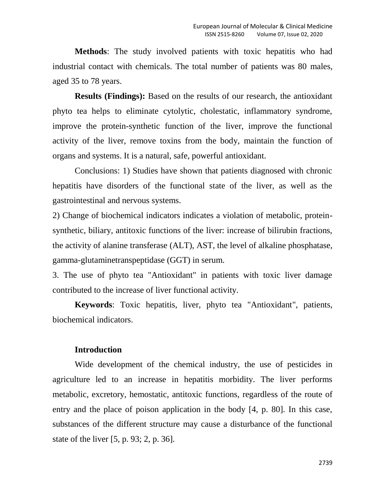**Methods**: The study involved patients with toxic hepatitis who had industrial contact with chemicals. The total number of patients was 80 males, aged 35 to 78 years.

**Results (Findings):** Based on the results of our research, the antioxidant phyto tea helps to eliminate cytolytic, cholestatic, inflammatory syndrome, improve the protein-synthetic function of the liver, improve the functional activity of the liver, remove toxins from the body, maintain the function of organs and systems. It is a natural, safe, powerful antioxidant.

Conclusions: 1) Studies have shown that patients diagnosed with chronic hepatitis have disorders of the functional state of the liver, as well as the gastrointestinal and nervous systems.

2) Change of biochemical indicators indicates a violation of metabolic, proteinsynthetic, biliary, antitoxic functions of the liver: increase of bilirubin fractions, the activity of alanine transferase (ALT), AST, the level of alkaline phosphatase, gamma-glutaminetranspeptidase (GGT) in serum.

3. The use of phyto tea "Antioxidant" in patients with toxic liver damage contributed to the increase of liver functional activity.

**Keywords**: Toxic hepatitis, liver, phyto tea "Antioxidant", patients, biochemical indicators.

#### **Introduction**

Wide development of the chemical industry, the use of pesticides in agriculture led to an increase in hepatitis morbidity. The liver performs metabolic, excretory, hemostatic, antitoxic functions, regardless of the route of entry and the place of poison application in the body [4, p. 80]. In this case, substances of the different structure may cause a disturbance of the functional state of the liver [5, p. 93; 2, p. 36].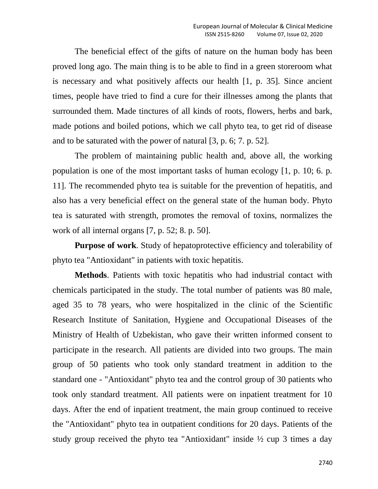The beneficial effect of the gifts of nature on the human body has been proved long ago. The main thing is to be able to find in a green storeroom what is necessary and what positively affects our health [1, p. 35]. Since ancient times, people have tried to find a cure for their illnesses among the plants that surrounded them. Made tinctures of all kinds of roots, flowers, herbs and bark, made potions and boiled potions, which we call phyto tea, to get rid of disease and to be saturated with the power of natural [3, p. 6; 7. p. 52].

The problem of maintaining public health and, above all, the working population is one of the most important tasks of human ecology [1, p. 10; 6. p. 11]. The recommended phyto tea is suitable for the prevention of hepatitis, and also has a very beneficial effect on the general state of the human body. Phyto tea is saturated with strength, promotes the removal of toxins, normalizes the work of all internal organs [7, p. 52; 8. p. 50].

**Purpose of work**. Study of hepatoprotective efficiency and tolerability of phyto tea "Antioxidant" in patients with toxic hepatitis.

**Methods**. Patients with toxic hepatitis who had industrial contact with chemicals participated in the study. The total number of patients was 80 male, aged 35 to 78 years, who were hospitalized in the clinic of the Scientific Research Institute of Sanitation, Hygiene and Occupational Diseases of the Ministry of Health of Uzbekistan, who gave their written informed consent to participate in the research. All patients are divided into two groups. The main group of 50 patients who took only standard treatment in addition to the standard one - "Antioxidant" phyto tea and the control group of 30 patients who took only standard treatment. All patients were on inpatient treatment for 10 days. After the end of inpatient treatment, the main group continued to receive the "Antioxidant" phyto tea in outpatient conditions for 20 days. Patients of the study group received the phyto tea "Antioxidant" inside ½ cup 3 times a day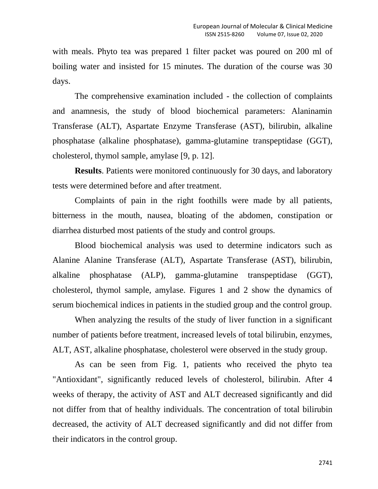with meals. Phyto tea was prepared 1 filter packet was poured on 200 ml of boiling water and insisted for 15 minutes. The duration of the course was 30 days.

The comprehensive examination included - the collection of complaints and anamnesis, the study of blood biochemical parameters: Alaninamin Transferase (ALT), Aspartate Enzyme Transferase (AST), bilirubin, alkaline phosphatase (alkaline phosphatase), gamma-glutamine transpeptidase (GGT), cholesterol, thymol sample, amylase [9, p. 12].

**Results**. Patients were monitored continuously for 30 days, and laboratory tests were determined before and after treatment.

Complaints of pain in the right foothills were made by all patients, bitterness in the mouth, nausea, bloating of the abdomen, constipation or diarrhea disturbed most patients of the study and control groups.

Blood biochemical analysis was used to determine indicators such as Alanine Alanine Transferase (ALT), Aspartate Transferase (AST), bilirubin, alkaline phosphatase (ALP), gamma-glutamine transpeptidase (GGT), cholesterol, thymol sample, amylase. Figures 1 and 2 show the dynamics of serum biochemical indices in patients in the studied group and the control group.

When analyzing the results of the study of liver function in a significant number of patients before treatment, increased levels of total bilirubin, enzymes, ALT, AST, alkaline phosphatase, cholesterol were observed in the study group.

As can be seen from Fig. 1, patients who received the phyto tea "Antioxidant", significantly reduced levels of cholesterol, bilirubin. After 4 weeks of therapy, the activity of AST and ALT decreased significantly and did not differ from that of healthy individuals. The concentration of total bilirubin decreased, the activity of ALT decreased significantly and did not differ from their indicators in the control group.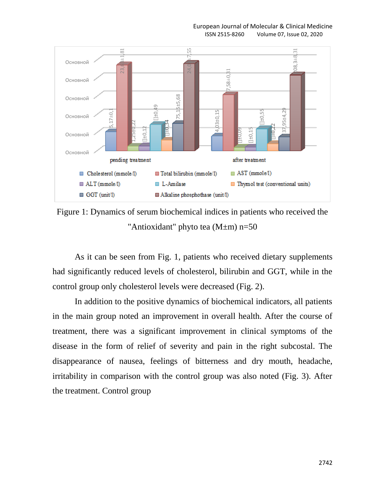#### European Journal of Molecular & Clinical Medicine

ISSN 2515-8260 Volume 07, Issue 02, 2020



Figure 1: Dynamics of serum biochemical indices in patients who received the "Antioxidant" phyto tea (M±m) n=50

As it can be seen from Fig. 1, patients who received dietary supplements had significantly reduced levels of cholesterol, bilirubin and GGT, while in the control group only cholesterol levels were decreased (Fig. 2).

In addition to the positive dynamics of biochemical indicators, all patients in the main group noted an improvement in overall health. After the course of treatment, there was a significant improvement in clinical symptoms of the disease in the form of relief of severity and pain in the right subcostal. The disappearance of nausea, feelings of bitterness and dry mouth, headache, irritability in comparison with the control group was also noted (Fig. 3). After the treatment. Control group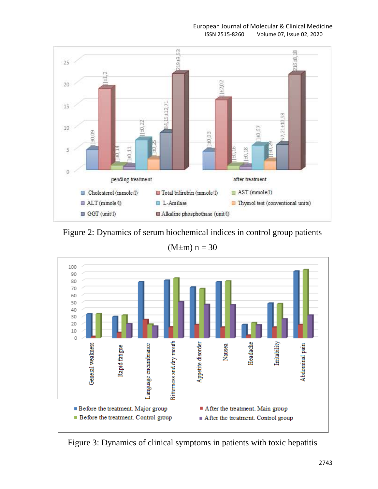European Journal of Molecular & Clinical Medicine

ISSN 2515-8260 Volume 07, Issue 02, 2020



Figure 2: Dynamics of serum biochemical indices in control group patients

 $(M \pm m)$  n = 30



Figure 3: Dynamics of clinical symptoms in patients with toxic hepatitis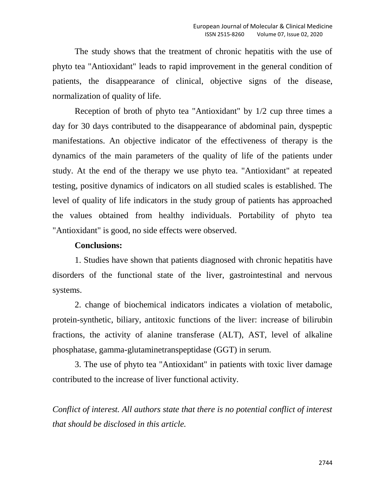The study shows that the treatment of chronic hepatitis with the use of phyto tea "Antioxidant" leads to rapid improvement in the general condition of patients, the disappearance of clinical, objective signs of the disease, normalization of quality of life.

Reception of broth of phyto tea "Antioxidant" by 1/2 cup three times a day for 30 days contributed to the disappearance of abdominal pain, dyspeptic manifestations. An objective indicator of the effectiveness of therapy is the dynamics of the main parameters of the quality of life of the patients under study. At the end of the therapy we use phyto tea. "Antioxidant" at repeated testing, positive dynamics of indicators on all studied scales is established. The level of quality of life indicators in the study group of patients has approached the values obtained from healthy individuals. Portability of phyto tea "Antioxidant" is good, no side effects were observed.

### **Conclusions:**

1. Studies have shown that patients diagnosed with chronic hepatitis have disorders of the functional state of the liver, gastrointestinal and nervous systems.

2. change of biochemical indicators indicates a violation of metabolic, protein-synthetic, biliary, antitoxic functions of the liver: increase of bilirubin fractions, the activity of alanine transferase (ALT), AST, level of alkaline phosphatase, gamma-glutaminetranspeptidase (GGT) in serum.

3. The use of phyto tea "Antioxidant" in patients with toxic liver damage contributed to the increase of liver functional activity.

*Conflict of interest. All authors state that there is no potential conflict of interest that should be disclosed in this article.*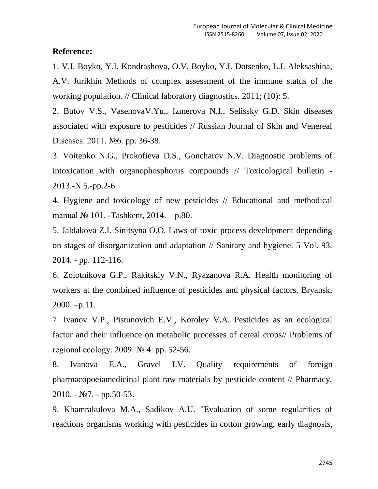### **Reference:**

1. V.I. Boyko, Y.I. Kondrashova, O.V. Boyko, Y.I. Dotsenko, L.I. Aleksashina, A.V. Jurikhin Methods of complex assessment of the immune status of the working population. // Clinical laboratory diagnostics. 2011; (10): 5.

2. Butov V.S., VasenovaV.Yu., Izmerova N.I., Selissky G.D. Skin diseases associated with exposure to pesticides // Russian Journal of Skin and Venereal Diseases. 2011. №6. pp. 36-38.

3. Voitenko N.G., Prokofieva D.S., Goncharov N.V. Diagnostic problems of intoxication with organophosphorus compounds // Toxicological bulletin - 2013.-N 5.-pp.2-6.

4. Hygiene and toxicology of new pesticides // Educational and methodical manual № 101. -Tashkent, 2014. – p.80.

5. Jaldakova Z.I. Sinitsyna O.O. Laws of toxic process development depending on stages of disorganization and adaptation // Sanitary and hygiene. 5 Vol. 93. 2014. - pp. 112-116.

6. Zolotnikova G.P., Rakitskiy V.N., Ryazanova R.A. Health monitoring of workers at the combined influence of pesticides and physical factors. Bryansk,  $2000. -p.11$ .

7. Ivanov V.P., Pistunovich E.V., Korolev V.A. Pesticides as an ecological factor and their influence on metabolic processes of cereal crops// Problems of regional ecology. 2009. № 4. pp. 52-56.

8. Ivanova E.A., Gravel I.V. Quality requirements of foreign pharmacopoeiamedicinal plant raw materials by pesticide content // Pharmacy,  $2010. - N<sub>2</sub>7. - pp.50-53.$ 

9. Khamrakulova M.A., Sadikov A.U. "Evaluation of some regularities of reactions organisms working with pesticides in cotton growing, early diagnosis,